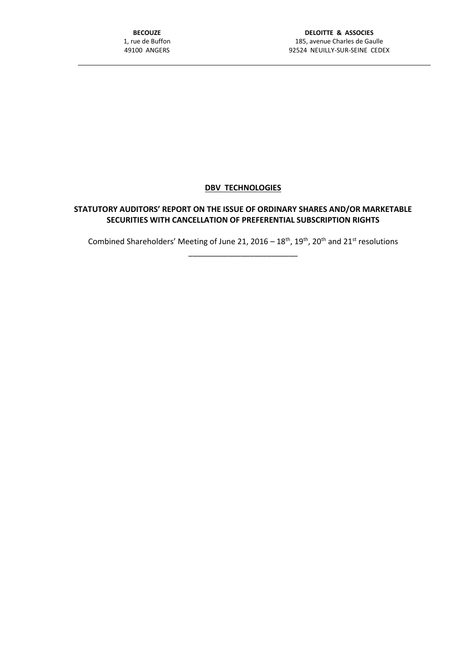## **DBV TECHNOLOGIES**

## **STATUTORY AUDITORS' REPORT ON THE ISSUE OF ORDINARY SHARES AND/OR MARKETABLE SECURITIES WITH CANCELLATION OF PREFERENTIAL SUBSCRIPTION RIGHTS**

Combined Shareholders' Meeting of June 21, 2016 –  $18<sup>th</sup>$ ,  $19<sup>th</sup>$ , 20<sup>th</sup> and 21<sup>st</sup> resolutions

\_\_\_\_\_\_\_\_\_\_\_\_\_\_\_\_\_\_\_\_\_\_\_\_\_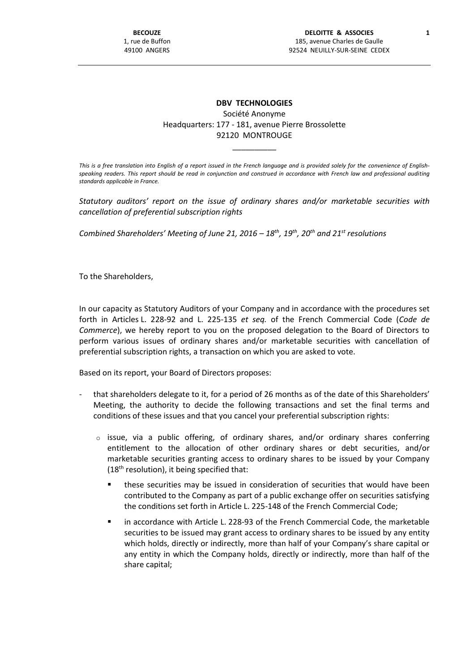## **DBV TECHNOLOGIES** Société Anonyme Headquarters: 177 - 181, avenue Pierre Brossolette 92120 MONTROUGE

*This is a free translation into English of a report issued in the French language and is provided solely for the convenience of Englishspeaking readers. This report should be read in conjunction and construed in accordance with French law and professional auditing standards applicable in France.*

\_\_\_\_\_\_\_\_\_\_

*Statutory auditors' report on the issue of ordinary shares and/or marketable securities with cancellation of preferential subscription rights*

*Combined Shareholders' Meeting of June 21, 2016 – 18th, 19th , 20th and 21st resolutions*

To the Shareholders,

In our capacity as Statutory Auditors of your Company and in accordance with the procedures set forth in Articles L. 228-92 and L. 225-135 *et seq.* of the French Commercial Code (*Code de Commerce*), we hereby report to you on the proposed delegation to the Board of Directors to perform various issues of ordinary shares and/or marketable securities with cancellation of preferential subscription rights, a transaction on which you are asked to vote.

Based on its report, your Board of Directors proposes:

- that shareholders delegate to it, for a period of 26 months as of the date of this Shareholders' Meeting, the authority to decide the following transactions and set the final terms and conditions of these issues and that you cancel your preferential subscription rights:
	- $\circ$  issue, via a public offering, of ordinary shares, and/or ordinary shares conferring entitlement to the allocation of other ordinary shares or debt securities, and/or marketable securities granting access to ordinary shares to be issued by your Company  $(18<sup>th</sup>$  resolution), it being specified that:
		- these securities may be issued in consideration of securities that would have been contributed to the Company as part of a public exchange offer on securities satisfying the conditions set forth in Article L. 225-148 of the French Commercial Code;
		- in accordance with Article L. 228-93 of the French Commercial Code, the marketable securities to be issued may grant access to ordinary shares to be issued by any entity which holds, directly or indirectly, more than half of your Company's share capital or any entity in which the Company holds, directly or indirectly, more than half of the share capital;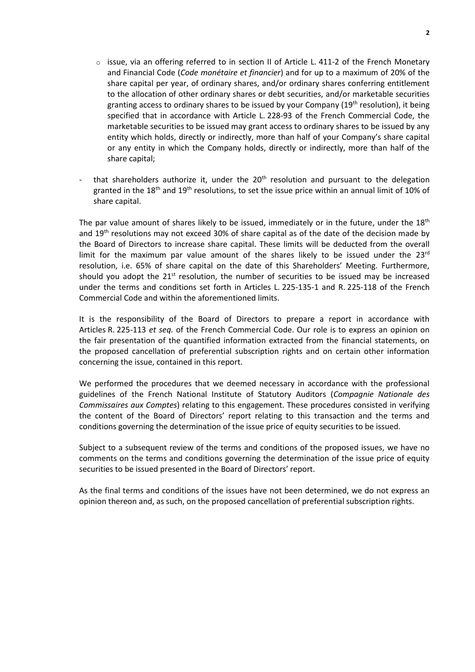- $\circ$  issue, via an offering referred to in section II of Article L. 411-2 of the French Monetary and Financial Code (*Code monétaire et financier*) and for up to a maximum of 20% of the share capital per year, of ordinary shares, and/or ordinary shares conferring entitlement to the allocation of other ordinary shares or debt securities, and/or marketable securities granting access to ordinary shares to be issued by your Company (19<sup>th</sup> resolution), it being specified that in accordance with Article L. 228-93 of the French Commercial Code, the marketable securities to be issued may grant access to ordinary shares to be issued by any entity which holds, directly or indirectly, more than half of your Company's share capital or any entity in which the Company holds, directly or indirectly, more than half of the share capital;
- that shareholders authorize it, under the  $20<sup>th</sup>$  resolution and pursuant to the delegation granted in the 18<sup>th</sup> and 19<sup>th</sup> resolutions, to set the issue price within an annual limit of 10% of share capital.

The par value amount of shares likely to be issued, immediately or in the future, under the  $18<sup>th</sup>$ and 19<sup>th</sup> resolutions may not exceed 30% of share capital as of the date of the decision made by the Board of Directors to increase share capital. These limits will be deducted from the overall limit for the maximum par value amount of the shares likely to be issued under the  $23<sup>rd</sup>$ resolution, i.e. 65% of share capital on the date of this Shareholders' Meeting. Furthermore, should you adopt the  $21<sup>st</sup>$  resolution, the number of securities to be issued may be increased under the terms and conditions set forth in Articles L. 225-135-1 and R. 225-118 of the French Commercial Code and within the aforementioned limits.

It is the responsibility of the Board of Directors to prepare a report in accordance with Articles R. 225-113 *et seq.* of the French Commercial Code. Our role is to express an opinion on the fair presentation of the quantified information extracted from the financial statements, on the proposed cancellation of preferential subscription rights and on certain other information concerning the issue, contained in this report.

We performed the procedures that we deemed necessary in accordance with the professional guidelines of the French National Institute of Statutory Auditors (*Compagnie Nationale des Commissaires aux Comptes*) relating to this engagement. These procedures consisted in verifying the content of the Board of Directors' report relating to this transaction and the terms and conditions governing the determination of the issue price of equity securities to be issued.

Subject to a subsequent review of the terms and conditions of the proposed issues, we have no comments on the terms and conditions governing the determination of the issue price of equity securities to be issued presented in the Board of Directors' report.

As the final terms and conditions of the issues have not been determined, we do not express an opinion thereon and, as such, on the proposed cancellation of preferential subscription rights.